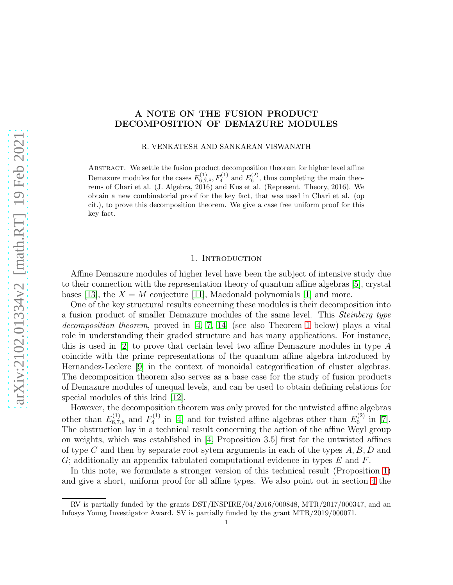# A NOTE ON THE FUSION PRODUCT DECOMPOSITION OF DEMAZURE MODULES

R. VENKATESH AND SANKARAN VISWANATH

ABSTRACT. We settle the fusion product decomposition theorem for higher level affine Demazure modules for the cases  $E_{6,7,8}^{(1)}, F_4^{(1)}$  and  $E_6^{(2)}$ , thus completing the main theorems of Chari et al. (J. Algebra, 2016) and Kus et al. (Represent. Theory, 2016). We obtain a new combinatorial proof for the key fact, that was used in Chari et al. (op cit.), to prove this decomposition theorem. We give a case free uniform proof for this key fact.

#### 1. INTRODUCTION

Affine Demazure modules of higher level have been the subject of intensive study due to their connection with the representation theory of quantum affine algebras [\[5\]](#page-5-0), crystal bases [\[13\]](#page-5-1), the  $X = M$  conjecture [\[11\]](#page-5-2), Macdonald polynomials [\[1\]](#page-5-3) and more.

One of the key structural results concerning these modules is their decomposition into a fusion product of smaller Demazure modules of the same level. This Steinberg type decomposition theorem, proved in  $[4, 7, 14]$  $[4, 7, 14]$  $[4, 7, 14]$  (see also Theorem [1](#page-3-0) below) plays a vital role in understanding their graded structure and has many applications. For instance, this is used in [\[2\]](#page-5-7) to prove that certain level two affine Demazure modules in type  $A$ coincide with the prime representations of the quantum affine algebra introduced by Hernandez-Leclerc [\[9\]](#page-5-8) in the context of monoidal categorification of cluster algebras. The decomposition theorem also serves as a base case for the study of fusion products of Demazure modules of unequal levels, and can be used to obtain defining relations for special modules of this kind [\[12\]](#page-5-9).

However, the decomposition theorem was only proved for the untwisted affine algebras other than  $E_{6,7,8}^{(1)}$  and  $F_4^{(1)}$  $E_4^{(1)}$  in [\[4\]](#page-5-4) and for twisted affine algebras other than  $E_6^{(2)}$  $_{6}^{\prime(2)}$  in [\[7\]](#page-5-5). The obstruction lay in a technical result concerning the action of the affine Weyl group on weights, which was established in [\[4,](#page-5-4) Proposition 3.5] first for the untwisted affines of type C and then by separate root sytem arguments in each of the types  $A, B, D$  and  $G$ ; additionally an appendix tabulated computational evidence in types  $E$  and  $F$ .

In this note, we formulate a stronger version of this technical result (Proposition [1\)](#page-2-0) and give a short, uniform proof for all affine types. We also point out in section [4](#page-3-1) the

RV is partially funded by the grants DST/INSPIRE/04/2016/000848, MTR/2017/000347, and an Infosys Young Investigator Award. SV is partially funded by the grant MTR/2019/000071.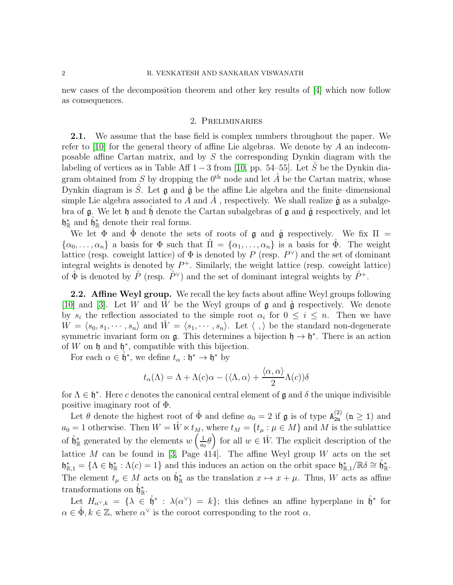new cases of the decomposition theorem and other key results of [\[4\]](#page-5-4) which now follow as consequences.

### 2. Preliminaries

2.1. We assume that the base field is complex numbers throughout the paper. We refer to [\[10\]](#page-5-10) for the general theory of affine Lie algebras. We denote by  $A$  an indecomposable affine Cartan matrix, and by S the corresponding Dynkin diagram with the labeling of vertices as in Table Aff  $1-3$  from [\[10,](#page-5-10) pp. 54–55]. Let S<sup>*i*</sup> be the Dynkin diagram obtained from S by dropping the  $0^{th}$  node and let  $\AA$  be the Cartan matrix, whose Dynkin diagram is  $\ddot{S}$ . Let  $\bf{g}$  and  $\ddot{\bf{g}}$  be the affine Lie algebra and the finite–dimensional simple Lie algebra associated to A and  $\AA$ , respectively. We shall realize  $\overset{\circ}{\mathfrak{g}}$  as a subalgebra of  $\mathfrak g$ . We let  $\mathfrak h$  and  $\mathfrak h$  denote the Cartan subalgebras of  $\mathfrak g$  and  $\mathfrak g$  respectively, and let  $\mathfrak{h}_{\mathbb{R}}^*$  and  $\overset{\circ}{\mathfrak{h}}_{\mathbb{R}}^*$  denote their real forms.

We let  $\Phi$  and  $\Phi$  denote the sets of roots of g and  $\mathring{g}$  respectively. We fix  $\Pi$  =  $\{\alpha_0,\ldots,\alpha_n\}$  a basis for  $\Phi$  such that  $\Pi = \{\alpha_1,\ldots,\alpha_n\}$  is a basis for  $\Phi$ . The weight lattice (resp. coweight lattice) of  $\Phi$  is denoted by P (resp.  $P^{\vee}$ ) and the set of dominant integral weights is denoted by  $P^+$ . Similarly, the weight lattice (resp. coweight lattice) of  $\phi$  is denoted by  $\mathring{P}$  (resp.  $\mathring{P}^{\vee}$ ) and the set of dominant integral weights by  $\mathring{P}^+$ .

2.2. Affine Weyl group. We recall the key facts about affine Weyl groups following [\[10\]](#page-5-10) and [\[3\]](#page-5-11). Let W and W be the Weyl groups of  $\mathfrak g$  and  $\mathfrak g$  respectively. We denote by  $s_i$  the reflection associated to the simple root  $\alpha_i$  for  $0 \leq i \leq n$ . Then we have  $W = \langle s_0, s_1, \cdots, s_n \rangle$  and  $\tilde{W} = \langle s_1, \cdots, s_n \rangle$ . Let  $\langle , \rangle$  be the standard non-degenerate symmetric invariant form on  $\mathfrak{g}$ . This determines a bijection  $\mathfrak{h} \to \mathfrak{h}^*$ . There is an action of  $W$  on  $\mathfrak h$  and  $\mathfrak h^*$ , compatible with this bijection.

For each  $\alpha \in \overset{\circ}{\mathfrak{h}}^*$ , we define  $t_\alpha : \mathfrak{h}^* \to \mathfrak{h}^*$  by

$$
t_{\alpha}(\Lambda) = \Lambda + \Lambda(c)\alpha - (\langle \Lambda, \alpha \rangle + \frac{\langle \alpha, \alpha \rangle}{2} \Lambda(c))\delta
$$

for  $\Lambda \in \mathfrak{h}^*$ . Here c denotes the canonical central element of  $\mathfrak g$  and  $\delta$  the unique indivisible positive imaginary root of Φ.

Let  $\theta$  denote the highest root of  $\phi$  and define  $a_0 = 2$  if  $\mathfrak g$  is of type  $A_{2n}^{(2)}$  ( $n \ge 1$ ) and  $a_0 = 1$  otherwise. Then  $W = \mathring{W} \ltimes t_M$ , where  $t_M = \{t_\mu : \mu \in M\}$  and M is the sublattice of  $\mathring{\mathfrak{h}}_{\mathbb{R}}^*$  generated by the elements  $w\left(\frac{1}{a_0}\right)$  $\left(\frac{1}{a_0}\theta\right)$  for all  $w \in \mathring{W}$ . The explicit description of the lattice M can be found in [\[3,](#page-5-11) Page 414]. The affine Weyl group W acts on the set  $\mathfrak{h}_{\mathbb{R},1}^* = {\Lambda \in \mathfrak{h}_{\mathbb{R}}^*: \Lambda(c) = 1}$  and this induces an action on the orbit space  $\mathfrak{h}_{\mathbb{R},1}^*/\mathbb{R} \delta \cong \mathfrak{h}_{\mathbb{R}}^*$ . The element  $t_{\mu} \in M$  acts on  $\mathring{\mathfrak{h}}_{\mathbb{R}}^*$  as the translation  $x \mapsto x + \mu$ . Thus, W acts as affine transformations on  $\mathring{\mathfrak{h}}_{\mathbb{R}}^*$ .

Let  $H_{\alpha^{\vee},k} = {\{\lambda \in \mathring{\mathfrak{h}}^* : \lambda(\alpha^{\vee}) = k\}}$ ; this defines an affine hyperplane in  $\mathring{\mathfrak{h}}^*$  for  $\alpha \in \mathring{\Phi}, k \in \mathbb{Z}$ , where  $\alpha^{\vee}$  is the coroot corresponding to the root  $\alpha$ .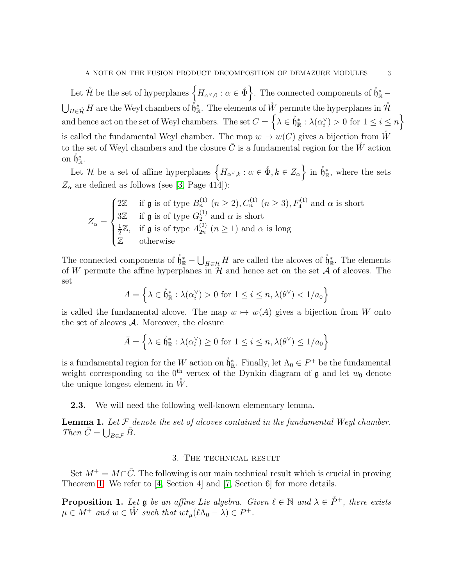Let  $\mathring{\mathcal{H}}$  be the set of hyperplanes  $\{H_{\alpha^\vee,0} : \alpha \in \mathring{\Phi}\}$ . The connected components of  $\mathring{\mathfrak{h}}^*_{\mathbb{R}}$  –  $\bigcup_{H \in \mathring{\mathcal{H}}} H$  are the Weyl chambers of  $\mathring{\mathfrak{h}}^*_{\mathbb R}$ . The elements of  $\mathring{W}$  permute the hyperplanes in  $\mathring{\mathcal{H}}$ and hence act on the set of Weyl chambers. The set  $C = \{ \lambda \in \mathring{\mathfrak{h}}_{\mathbb{R}}^* : \lambda(\alpha_i^{\vee})\}$  $\binom{y}{i} > 0$  for  $1 \leq i \leq n$ is called the fundamental Weyl chamber. The map  $w \mapsto w(C)$  gives a bijection from  $\tilde{W}$ to the set of Weyl chambers and the closure  $\overline{C}$  is a fundamental region for the W action on  $\mathring{\mathfrak{h}}^*_{\mathbb R}$ .

Let H be a set of affine hyperplanes  $\{H_{\alpha^\vee,k} : \alpha \in \mathring{\Phi}, k \in Z_\alpha\}$  in  $\mathring{\mathfrak{h}}^*_{\mathbb{R}}$ , where the sets  $Z_{\alpha}$  are defined as follows (see [\[3,](#page-5-11) Page 414]):

$$
Z_{\alpha} = \begin{cases} 2\mathbb{Z} & \text{if } \mathfrak{g} \text{ is of type } B_n^{(1)} \ (n \ge 2), C_n^{(1)} \ (n \ge 3), F_4^{(1)} \text{ and } \alpha \text{ is short} \\ 3\mathbb{Z} & \text{if } \mathfrak{g} \text{ is of type } G_2^{(1)} \text{ and } \alpha \text{ is short} \\ \frac{1}{2}\mathbb{Z}, & \text{if } \mathfrak{g} \text{ is of type } A_{2n}^{(2)} \ (n \ge 1) \text{ and } \alpha \text{ is long} \\ \mathbb{Z} & \text{otherwise} \end{cases}
$$

The connected components of  $\mathring{\mathfrak{h}}_{\mathbb{R}}^* - \bigcup_{H \in \mathcal{H}} H$  are called the alcoves of  $\mathring{\mathfrak{h}}_{\mathbb{R}}^*$ . The elements of W permute the affine hyperplanes in  $\mathcal H$  and hence act on the set  $\mathcal A$  of alcoves. The set

$$
A = \left\{ \lambda \in \mathring{\mathfrak{h}}_{\mathbb{R}}^* : \lambda(\alpha_i^{\vee}) > 0 \text{ for } 1 \le i \le n, \lambda(\theta^{\vee}) < 1/a_0 \right\}
$$

is called the fundamental alcove. The map  $w \mapsto w(A)$  gives a bijection from W onto the set of alcoves  $A$ . Moreover, the closure

$$
\bar{A} = \left\{ \lambda \in \overset{\circ}{\mathfrak{h}}_{\mathbb{R}}^* : \lambda(\alpha_i^{\vee}) \ge 0 \text{ for } 1 \le i \le n, \lambda(\theta^{\vee}) \le 1/a_0 \right\}
$$

is a fundamental region for the W action on  $\mathring{\mathfrak{h}}^*_{\mathbb{R}}$ . Finally, let  $\Lambda_0 \in P^+$  be the fundamental weight corresponding to the 0<sup>th</sup> vertex of the Dynkin diagram of  $\mathfrak g$  and let  $w_0$  denote the unique longest element in  $\tilde{W}$ .

2.3. We will need the following well-known elementary lemma.

<span id="page-2-1"></span>**Lemma 1.** Let  $\mathcal F$  denote the set of alcoves contained in the fundamental Weyl chamber. Then  $\bar{C} = \bigcup_{B \in \mathcal{F}} \bar{B}$ .

### 3. The technical result

Set  $M^+ = M \cap \overline{C}$ . The following is our main technical result which is crucial in proving Theorem [1.](#page-3-0) We refer to [\[4,](#page-5-4) Section 4] and [\[7,](#page-5-5) Section 6] for more details.

<span id="page-2-0"></span>**Proposition 1.** Let  $\mathfrak g$  be an affine Lie algebra. Given  $\ell \in \mathbb N$  and  $\lambda \in \check{P}^+$ , there exists  $\mu \in M^+$  and  $w \in \mathring{W}$  such that  $wt_{\mu}(\ell\Lambda_0 - \lambda) \in P^+$ .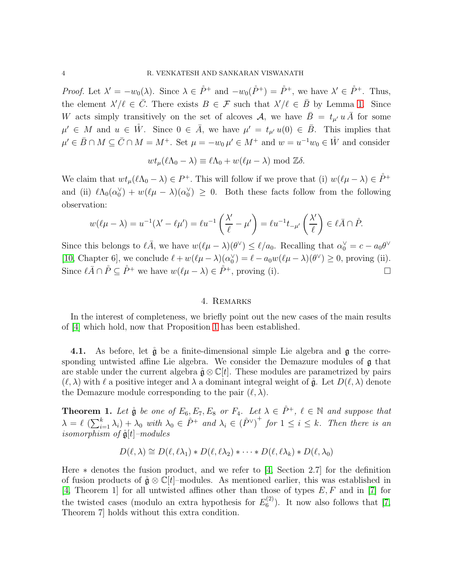*Proof.* Let  $\lambda' = -w_0(\lambda)$ . Since  $\lambda \in \mathring{P}^+$  and  $-w_0(\mathring{P}^+) = \mathring{P}^+$ , we have  $\lambda' \in \mathring{P}^+$ . Thus, the element  $\lambda'/\ell \in \overline{C}$ . There exists  $B \in \mathcal{F}$  such that  $\lambda'/\ell \in \overline{B}$  by Lemma [1.](#page-2-1) Since W acts simply transitively on the set of alcoves A, we have  $\overline{B} = t_{\mu} \overline{u} \overline{A}$  for some  $\mu' \in M$  and  $u \in \mathring{W}$ . Since  $0 \in \overline{A}$ , we have  $\mu' = t_{\mu'} u(0) \in \overline{B}$ . This implies that  $\mu' \in \bar{B} \cap M \subseteq \bar{C} \cap M = M^+$ . Set  $\mu = -w_0 \mu' \in M^+$  and  $w = u^{-1}w_0 \in \mathring{W}$  and consider

$$
wt_{\mu}(\ell\Lambda_0-\lambda)\equiv \ell\Lambda_0+w(\ell\mu-\lambda)\bmod \mathbb{Z}\delta.
$$

We claim that  $wt_{\mu}(\ell\Lambda_0-\lambda)\in P^+$ . This will follow if we prove that (i)  $w(\ell\mu-\lambda)\in \mathring{P}^+$ and (ii)  $\ell \Lambda_0(\alpha_0^{\vee})$  $\chi_0^{\vee}$ ) +  $w(\ell\mu - \lambda)(\alpha_0^{\vee})$  $\binom{0}{0} \geq 0$ . Both these facts follow from the following observation:

$$
w(\ell\mu - \lambda) = u^{-1}(\lambda' - \ell\mu') = \ell u^{-1}\left(\frac{\lambda'}{\ell} - \mu'\right) = \ell u^{-1}t_{-\mu'}\left(\frac{\lambda'}{\ell}\right) \in \ell \bar{A} \cap \mathring{P}.
$$

Since this belongs to  $\ell \bar{A}$ , we have  $w(\ell \mu - \lambda)(\theta^{\vee}) \leq \ell/a_0$ . Recalling that  $\alpha_0^{\vee} = c - a_0 \theta^{\vee}$ [\[10,](#page-5-10) Chapter 6], we conclude  $\ell + w(\ell\mu - \lambda)(\alpha_0^{\vee})$  $\psi_0^{\vee}$ ) =  $\ell - a_0 w (\ell \mu - \lambda)(\theta^{\vee}) \ge 0$ , proving (ii). Since  $\ell \bar{A} \cap \mathring{P} \subseteq \mathring{P}^+$  we have  $w(\ell \mu - \lambda) \in \mathring{P}^+$ , proving (i).

## 4. Remarks

<span id="page-3-1"></span>In the interest of completeness, we briefly point out the new cases of the main results of [\[4\]](#page-5-4) which hold, now that Proposition [1](#page-2-0) has been established.

4.1. As before, let  $\mathring{g}$  be a finite-dimensional simple Lie algebra and  $g$  the corresponding untwisted affine Lie algebra. We consider the Demazure modules of g that are stable under the current algebra  $\mathring{\mathfrak{g}} \otimes \mathbb{C}[t]$ . These modules are parametrized by pairs  $(\ell, \lambda)$  with  $\ell$  a positive integer and  $\lambda$  a dominant integral weight of  $\mathring{\mathfrak{g}}$ . Let  $D(\ell, \lambda)$  denote the Demazure module corresponding to the pair  $(\ell, \lambda)$ .

<span id="page-3-0"></span>**Theorem 1.** Let  $\mathring{\mathfrak{g}}$  be one of  $E_6, E_7, E_8$  or  $F_4$ . Let  $\lambda \in \mathring{P}^+$ ,  $\ell \in \mathbb{N}$  and suppose that  $\lambda = \ell \left( \sum_{i=1}^k \lambda_i \right) + \lambda_0$  with  $\lambda_0 \in \hat{P}^+$  and  $\lambda_i \in (\hat{P}^{\vee})^+$  for  $1 \leq i \leq k$ . Then there is an isomorphism of  $\mathfrak{g}[t]$ -modules

$$
D(\ell, \lambda) \cong D(\ell, \ell \lambda_1) * D(\ell, \ell \lambda_2) * \cdots * D(\ell, \ell \lambda_k) * D(\ell, \lambda_0)
$$

Here  $*$  denotes the fusion product, and we refer to [\[4,](#page-5-4) Section 2.7] for the definition of fusion products of  $\mathring{q} \otimes \mathbb{C}[t]$ -modules. As mentioned earlier, this was established in [\[4,](#page-5-4) Theorem 1] for all untwisted affines other than those of types  $E, F$  and in [\[7\]](#page-5-5) for the twisted cases (modulo an extra hypothesis for  $E_6^{(2)}$  $_{6}^{(2)}$ ). It now also follows that [\[7,](#page-5-5) Theorem 7] holds without this extra condition.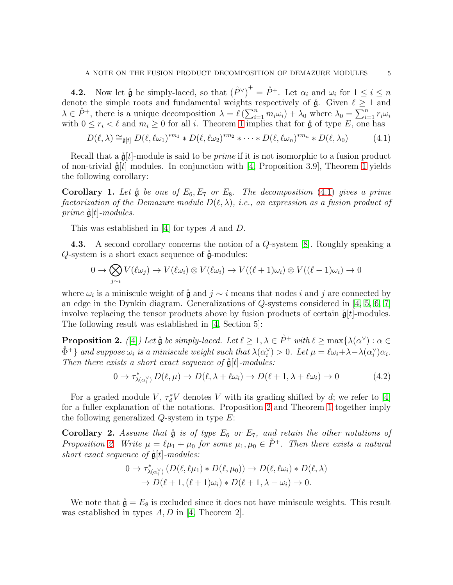**4.2.** Now let  $\mathring{\mathfrak{g}}$  be simply-laced, so that  $(\mathring{P}^{\vee})^+ = \mathring{P}^+$ . Let  $\alpha_i$  and  $\omega_i$  for  $1 \leq i \leq n$ denote the simple roots and fundamental weights respectively of  $\mathring{\mathfrak{g}}$ . Given  $\ell \geq 1$  and  $\lambda \in \mathring{P}^+$ , there is a unique decomposition  $\lambda = \ell \left( \sum_{i=1}^n m_i \omega_i \right) + \lambda_0$  where  $\lambda_0 = \sum_{i=1}^n r_i \omega_i$ with  $0 \leq r_i < \ell$  and  $m_i \geq 0$  for all i. Theorem [1](#page-3-0) implies that for  $\mathring{\mathfrak{g}}$  of type E, one has

<span id="page-4-0"></span>
$$
D(\ell, \lambda) \cong_{\mathfrak{g}[t]} D(\ell, \ell \omega_1)^{*m_1} * D(\ell, \ell \omega_2)^{*m_2} * \cdots * D(\ell, \ell \omega_n)^{*m_n} * D(\ell, \lambda_0)
$$
(4.1)

Recall that a  $\mathring{g}[t]$ -module is said to be *prime* if it is not isomorphic to a fusion product of non-trivial  $\mathring{g}[t]$  modules. In conjunction with [\[4,](#page-5-4) Proposition 3.9], Theorem [1](#page-3-0) yields the following corollary:

**Corollary 1.** Let  $\mathring{g}$  be one of  $E_6, E_7$  or  $E_8$ . The decomposition [\(4.1\)](#page-4-0) gives a prime factorization of the Demazure module  $D(\ell, \lambda)$ , i.e., an expression as a fusion product of prime  $\mathring{\mathfrak{g}}[t]$ -modules.

This was established in [\[4\]](#page-5-4) for types A and D.

4.3. A second corollary concerns the notion of a Q-system [\[8\]](#page-5-12). Roughly speaking a Q-system is a short exact sequence of  $\mathring{g}$ -modules:

$$
0 \to \bigotimes_{j \sim i} V(\ell \omega_j) \to V(\ell \omega_i) \otimes V(\ell \omega_i) \to V((\ell+1)\omega_i) \otimes V((\ell-1)\omega_i) \to 0
$$

where  $\omega_i$  is a miniscule weight of  $\mathring{\mathfrak{g}}$  and  $j \sim i$  means that nodes i and j are connected by an edge in the Dynkin diagram. Generalizations of Q-systems considered in [\[4,](#page-5-4) [5,](#page-5-0) [6,](#page-5-13) [7\]](#page-5-5) involve replacing the tensor products above by fusion products of certain  $\ddot{\mathbf{g}}[t]$ -modules. The following result was established in [\[4,](#page-5-4) Section 5]:

<span id="page-4-1"></span>**Proposition 2.** ([\[4\]](#page-5-4)) Let  $\mathring{\mathfrak{g}}$  be simply-laced. Let  $\ell \geq 1, \lambda \in \mathring{P}^+$  with  $\ell \geq \max\{\lambda(\alpha^\vee): \alpha \in \mathring{P}^+ \}$  $\mathring{\Phi}^+ \}$  and suppose  $\omega_i$  is a miniscule weight such that  $\lambda(\alpha_i^\vee)$  $\hat{\psi}_i^{\vee}$ ) > 0. Let  $\mu = \ell \omega_i + \lambda - \lambda (\alpha_i^{\vee})$  $_{i}^{\vee})\alpha_{i}.$ Then there exists a short exact sequence of  $\mathring{\mathfrak{g}}[t]$ -modules:

$$
0 \to \tau_{\lambda(\alpha_i^{\vee})}^* D(\ell, \mu) \to D(\ell, \lambda + \ell \omega_i) \to D(\ell + 1, \lambda + \ell \omega_i) \to 0 \tag{4.2}
$$

For a graded module V,  $\tau_d^* V$  denotes V with its grading shifted by d; we refer to [\[4\]](#page-5-4) for a fuller explanation of the notations. Proposition [2](#page-4-1) and Theorem [1](#page-3-0) together imply the following generalized  $Q$ -system in type  $E$ :

**Corollary 2.** Assume that  $\mathring{g}$  is of type  $E_6$  or  $E_7$ , and retain the other notations of Proposition [2.](#page-4-1) Write  $\mu = \ell \mu_1 + \mu_0$  for some  $\mu_1, \mu_0 \in \mathring{P}^+$ . Then there exists a natural short exact sequence of  $\mathring{\mathfrak{g}}[t]$ -modules:

$$
0 \to \tau_{\lambda(\alpha_i^{\vee})}^* (D(\ell, \ell \mu_1) * D(\ell, \mu_0)) \to D(\ell, \ell \omega_i) * D(\ell, \lambda)
$$
  

$$
\to D(\ell + 1, (\ell + 1)\omega_i) * D(\ell + 1, \lambda - \omega_i) \to 0.
$$

We note that  $\mathring{\mathfrak{g}} = E_8$  is excluded since it does not have miniscule weights. This result was established in types  $A, D$  in [\[4,](#page-5-4) Theorem 2].